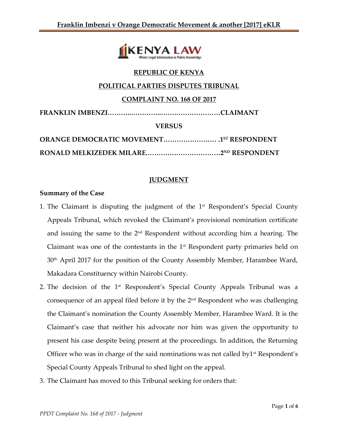

# **REPUBLIC OF KENYA**

#### **POLITICAL PARTIES DISPUTES TRIBUNAL**

#### **COMPLAINT NO. 168 OF 2017**

**FRANKLIN IMBENZI………..…………..………………………CLAIMANT**

**VERSUS**

# **JUDGMENT**

#### **Summary of the Case**

- 1. The Claimant is disputing the judgment of the 1<sup>st</sup> Respondent's Special County Appeals Tribunal, which revoked the Claimant's provisional nomination certificate and issuing the same to the 2nd Respondent without according him a hearing. The Claimant was one of the contestants in the 1<sup>st</sup> Respondent party primaries held on 30th April 2017 for the position of the County Assembly Member, Harambee Ward, Makadara Constituency within Nairobi County.
- 2. The decision of the 1<sup>st</sup> Respondent's Special County Appeals Tribunal was a consequence of an appeal filed before it by the 2nd Respondent who was challenging the Claimant's nomination the County Assembly Member, Harambee Ward. It is the Claimant's case that neither his advocate nor him was given the opportunity to present his case despite being present at the proceedings. In addition, the Returning Officer who was in charge of the said nominations was not called by  $1$ <sup>st</sup> Respondent's Special County Appeals Tribunal to shed light on the appeal.
- 3. The Claimant has moved to this Tribunal seeking for orders that: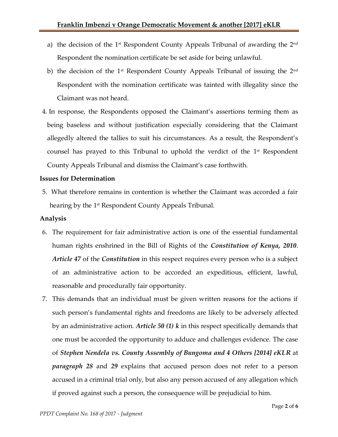- a) the decision of the 1st Respondent County Appeals Tribunal of awarding the 2 $^{\rm{nd}}$ Respondent the nomination certificate be set aside for being unlawful.
- b) the decision of the 1<sup>st</sup> Respondent County Appeals Tribunal of issuing the  $2<sup>nd</sup>$ Respondent with the nomination certificate was tainted with illegality since the Claimant was not heard.
- 4. In response, the Respondents opposed the Claimant's assertions terming them as being baseless and without justification especially considering that the Claimant allegedly altered the tallies to suit his circumstances. As a result, the Respondent's counsel has prayed to this Tribunal to uphold the verdict of the 1 st Respondent County Appeals Tribunal and dismiss the Claimant's case forthwith.

## **Issues for Determination**

5. What therefore remains in contention is whether the Claimant was accorded a fair hearing by the 1<sup>st</sup> Respondent County Appeals Tribunal.

## **Analysis**

- 6. The requirement for fair administrative action is one of the essential fundamental human rights enshrined in the Bill of Rights of the *Constitution of Kenya, 2010*. *Article 47* of the *Constitution* in this respect requires every person who is a subject of an administrative action to be accorded an expeditious, efficient, lawful, reasonable and procedurally fair opportunity.
- 7. This demands that an individual must be given written reasons for the actions if such person's fundamental rights and freedoms are likely to be adversely affected by an administrative action. *Article 50 (1) k* in this respect specifically demands that one must be accorded the opportunity to adduce and challenges evidence. The case of *Stephen Nendela vs. County Assembly of Bungoma and 4 Others [2014] eKLR* at *paragraph 28* and *29* explains that accused person does not refer to a person accused in a criminal trial only, but also any person accused of any allegation which if proved against such a person, the consequence will be prejudicial to him.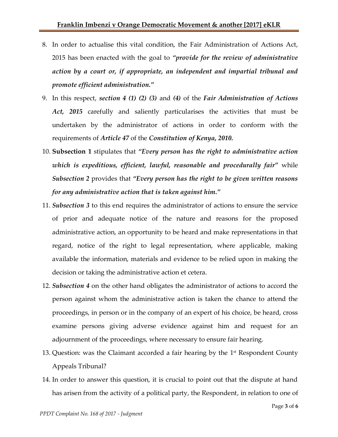- 8. In order to actualise this vital condition, the Fair Administration of Actions Act, 2015 has been enacted with the goal to *"provide for the review of administrative action by a court or, if appropriate, an independent and impartial tribunal and promote efficient administration."*
- 9. In this respect, *section 4 (1) (2) (3)* and *(4)* of the *Fair Administration of Actions Act, 2015* carefully and saliently particularises the activities that must be undertaken by the administrator of actions in order to conform with the requirements of *Article 47* of the *Constitution of Kenya, 2010.*
- 10. **Subsection 1** stipulates that *"Every person has the right to administrative action which is expeditious, efficient, lawful, reasonable and procedurally fair"* while *Subsection 2* provides that *"Every person has the right to be given written reasons for any administrative action that is taken against him."*
- 11. *Subsection 3* to this end requires the administrator of actions to ensure the service of prior and adequate notice of the nature and reasons for the proposed administrative action, an opportunity to be heard and make representations in that regard, notice of the right to legal representation, where applicable, making available the information, materials and evidence to be relied upon in making the decision or taking the administrative action et cetera.
- 12. *Subsection 4* on the other hand obligates the administrator of actions to accord the person against whom the administrative action is taken the chance to attend the proceedings, in person or in the company of an expert of his choice, be heard, cross examine persons giving adverse evidence against him and request for an adjournment of the proceedings, where necessary to ensure fair hearing.
- 13. Question: was the Claimant accorded a fair hearing by the  $1<sup>st</sup>$  Respondent County Appeals Tribunal?
- 14. In order to answer this question, it is crucial to point out that the dispute at hand has arisen from the activity of a political party, the Respondent, in relation to one of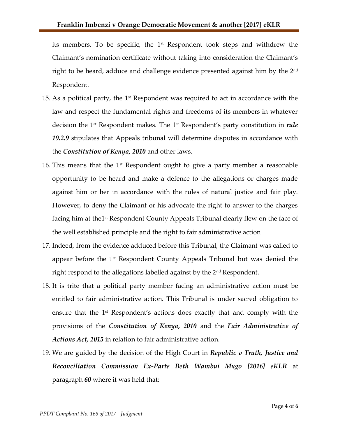its members. To be specific, the 1<sup>st</sup> Respondent took steps and withdrew the Claimant's nomination certificate without taking into consideration the Claimant's right to be heard, adduce and challenge evidence presented against him by the  $2^{\rm nd}$ Respondent.

- 15. As a political party, the  $1<sup>st</sup>$  Respondent was required to act in accordance with the law and respect the fundamental rights and freedoms of its members in whatever decision the 1st Respondent makes. The 1 st Respondent's party constitution in *rule 19.2.9* stipulates that Appeals tribunal will determine disputes in accordance with the *Constitution of Kenya, 2010* and other laws.
- 16. This means that the  $1<sup>st</sup>$  Respondent ought to give a party member a reasonable opportunity to be heard and make a defence to the allegations or charges made against him or her in accordance with the rules of natural justice and fair play. However, to deny the Claimant or his advocate the right to answer to the charges facing him at the1<sup>st</sup> Respondent County Appeals Tribunal clearly flew on the face of the well established principle and the right to fair administrative action
- 17. Indeed, from the evidence adduced before this Tribunal, the Claimant was called to appear before the  $1<sup>st</sup>$  Respondent County Appeals Tribunal but was denied the right respond to the allegations labelled against by the 2nd Respondent.
- 18. It is trite that a political party member facing an administrative action must be entitled to fair administrative action. This Tribunal is under sacred obligation to ensure that the 1st Respondent's actions does exactly that and comply with the provisions of the *Constitution of Kenya, 2010* and the *Fair Administrative of Actions Act, 2015* in relation to fair administrative action.
- 19. We are guided by the decision of the High Court in *Republic v Truth, Justice and Reconciliation Commission Ex-Parte Beth Wambui Mugo [2016] eKLR* at paragraph *60* where it was held that: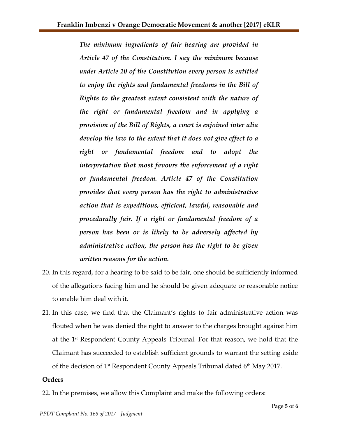*The minimum ingredients of fair hearing are provided in Article 47 of the Constitution. I say the minimum because under Article 20 of the Constitution every person is entitled to enjoy the rights and fundamental freedoms in the Bill of Rights to the greatest extent consistent with the nature of the right or fundamental freedom and in applying a provision of the Bill of Rights, a court is enjoined inter alia develop the law to the extent that it does not give effect to a right or fundamental freedom and to adopt the interpretation that most favours the enforcement of a right or fundamental freedom. Article 47 of the Constitution provides that every person has the right to administrative action that is expeditious, efficient, lawful, reasonable and procedurally fair. If a right or fundamental freedom of a person has been or is likely to be adversely affected by administrative action, the person has the right to be given written reasons for the action.*

- 20. In this regard, for a hearing to be said to be fair, one should be sufficiently informed of the allegations facing him and he should be given adequate or reasonable notice to enable him deal with it.
- 21. In this case, we find that the Claimant's rights to fair administrative action was flouted when he was denied the right to answer to the charges brought against him at the 1 st Respondent County Appeals Tribunal. For that reason, we hold that the Claimant has succeeded to establish sufficient grounds to warrant the setting aside of the decision of 1st Respondent County Appeals Tribunal dated 6<sup>th</sup> May 2017.

## **Orders**

22. In the premises, we allow this Complaint and make the following orders: